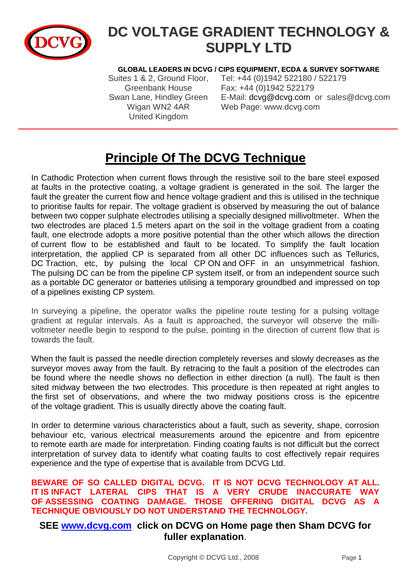

# **DC VOLTAGE GRADIENT TECHNOLOGY & SUPPLY LTD**

#### **GLOBAL LEADERS IN DCVG / CIPS EQUIPMENT, ECDA & SURVEY SOFTWARE**

United Kingdom

Suites 1 & 2, Ground Floor, Tel: +44 (0)1942 522180 / 522179 Greenbank House Fax: +44 (0)1942 522179 Swan Lane, Hindley Green E-Mail: [dcvg@dcvg.com](mailto:dcvg@dcvg.com) or sales@dcvg.com Wigan WN2 4AR Web Page: www.dcvg.com

## **Principle Of The DCVG Technique**

In Cathodic Protection when current flows through the resistive soil to the bare steel exposed at faults in the protective coating, a voltage gradient is generated in the soil. The larger the fault the greater the current flow and hence voltage gradient and this is utilised in the technique to prioritise faults for repair. The voltage gradient is observed by measuring the out of balance between two copper sulphate electrodes utilising a specially designed millivoltmeter. When the two electrodes are placed 1.5 meters apart on the soil in the voltage gradient from a coating fault, one electrode adopts a more positive potential than the other which allows the direction of current flow to be established and fault to be located. To simplify the fault location interpretation, the applied CP is separated from all other DC influences such as Tellurics, DC Traction, etc, by pulsing the local CP ON and OFF in an unsymmetrical fashion. The pulsing DC can be from the pipeline CP system itself, or from an independent source such as a portable DC generator or batteries utilising a temporary groundbed and impressed on top of a pipelines existing CP system.

In surveying a pipeline, the operator walks the pipeline route testing for a pulsing voltage gradient at regular intervals. As a fault is approached, the surveyor will observe the millivoltmeter needle begin to respond to the pulse, pointing in the direction of current flow that is towards the fault.

When the fault is passed the needle direction completely reverses and slowly decreases as the surveyor moves away from the fault. By retracing to the fault a position of the electrodes can be found where the needle shows no deflection in either direction (a null). The fault is then sited midway between the two electrodes. This procedure is then repeated at right angles to the first set of observations, and where the two midway positions cross is the epicentre of the voltage gradient. This is usually directly above the coating fault.

In order to determine various characteristics about a fault, such as severity, shape, corrosion behaviour etc, various electrical measurements around the epicentre and from epicentre to remote earth are made for interpretation. Finding coating faults is not difficult but the correct interpretation of survey data to identify what coating faults to cost effectively repair requires experience and the type of expertise that is available from DCVG Ltd.

#### **BEWARE OF SO CALLED DIGITAL DCVG. IT IS NOT DCVG TECHNOLOGY AT ALL. IT IS INFACT LATERAL CIPS THAT IS A VERY CRUDE INACCURATE WAY OF ASSESSING COATING DAMAGE. THOSE OFFERING DIGITAL DCVG AS A TECHNIQUE OBVIOUSLY DO NOT UNDERSTAND THE TECHNOLOGY.**

#### **SEE [www.dcvg.com](http://www.dcvg.com/) click on DCVG on Home page then Sham DCVG for fuller explanation**.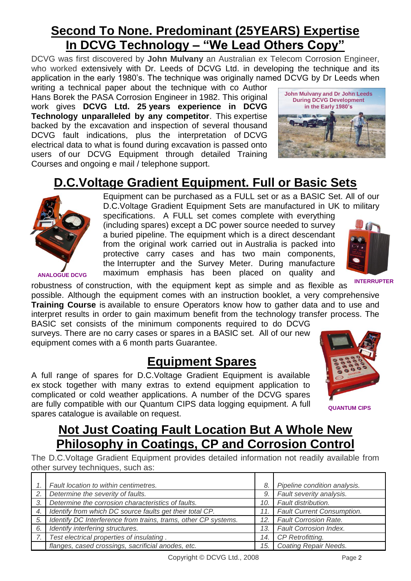## **Second To None. Predominant (25YEARS) Expertise In DCVG Technology – "We Lead Others Copy"**

DCVG was first discovered by **John Mulvany** an Australian ex Telecom Corrosion Engineer, who worked extensively with Dr. Leeds of DCVG Ltd. in developing the technique and its application in the early 1980's. The technique was originally named DCVG by Dr Leeds when

writing a technical paper about the technique with co Author Hans Borek the PASA Corrosion Engineer in 1982. This original work gives **DCVG Ltd. 25 years experience in DCVG Technology unparalleled by any competitor**. This expertise backed by the excavation and inspection of several thousand DCVG fault indications, plus the interpretation of DCVG electrical data to what is found during excavation is passed onto users of our DCVG Equipment through detailed Training Courses and ongoing e mail / telephone support.

**ANALOGUE DCVG**



## **D.C.Voltage Gradient Equipment. Full or Basic Sets**



(including spares) except a DC power source needed to survey a buried pipeline. The equipment which is a direct descendant from the original work carried out in Australia is packed into protective carry cases and has two main components, the Interrupter and the Survey Meter. During manufacture maximum emphasis has been placed on quality and



**INTERRUPTER**

robustness of construction, with the equipment kept as simple and as flexible as possible. Although the equipment comes with an instruction booklet, a very comprehensive **Training Course** is available to ensure Operators know how to gather data and to use and interpret results in order to gain maximum benefit from the technology transfer process. The BASIC set consists of the minimum components required to do DCVG

surveys. There are no carry cases or spares in a BASIC set. All of our new equipment comes with a 6 month parts Guarantee.

### **Equipment Spares**

A full range of spares for D.C.Voltage Gradient Equipment is available ex stock together with many extras to extend equipment application to complicated or cold weather applications. A number of the DCVG spares are fully compatible with our Quantum CIPS data logging equipment. A full spares catalogue is available on request.



**QUANTUM CIPS**

## **Not Just Coating Fault Location But A Whole New Philosophy in Coatings, CP and Corrosion Control**

The D.C.Voltage Gradient Equipment provides detailed information not readily available from other survey techniques, such as:

|     | Fault location to within centimetres.                            | 8.   | Pipeline condition analysis.   |
|-----|------------------------------------------------------------------|------|--------------------------------|
| 2.  | Determine the severity of faults.                                | 9.   | Fault severity analysis.       |
| 3.  | Determine the corrosion characteristics of faults.               | 10.1 | Fault distribution.            |
| 4.1 | Identify from which DC source faults get their total CP.         |      | 11. Fault Current Consumption. |
| 5.  | I Identify DC Interference from trains, trams, other CP systems. |      | 12. Fault Corrosion Rate.      |
| 6.  | Identify interfering structures.                                 | 13.  | Fault Corrosion Index.         |
| 7.  | Test electrical properties of insulating.                        | 14.  | CP Retrofitting.               |
|     | flanges, cased crossings, sacrificial anodes, etc.               |      | 15. Coating Repair Needs.      |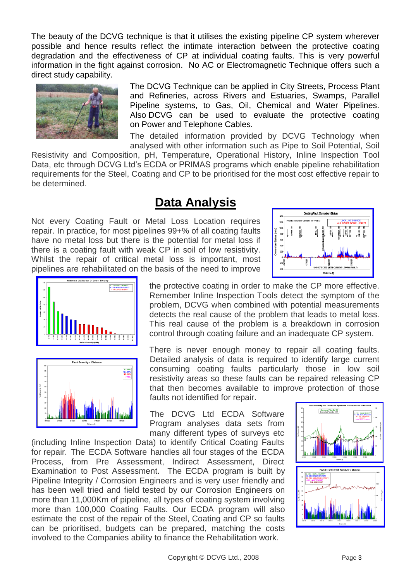The beauty of the DCVG technique is that it utilises the existing pipeline CP system wherever possible and hence results reflect the intimate interaction between the protective coating degradation and the effectiveness of CP at individual coating faults. This is very powerful information in the fight against corrosion. No AC or Electromagnetic Technique offers such a direct study capability.



The DCVG Technique can be applied in City Streets, Process Plant and Refineries, across Rivers and Estuaries, Swamps, Parallel Pipeline systems, to Gas, Oil, Chemical and Water Pipelines. Also DCVG can be used to evaluate the protective coating on Power and Telephone Cables.

The detailed information provided by DCVG Technology when analysed with other information such as Pipe to Soil Potential, Soil

Resistivity and Composition, pH, Temperature, Operational History, Inline Inspection Tool Data, etc through DCVG Ltd's ECDA or PRIMAS programs which enable pipeline rehabilitation requirements for the Steel, Coating and CP to be prioritised for the most cost effective repair to be determined.

#### **Data Analysis**

Not every Coating Fault or Metal Loss Location requires repair. In practice, for most pipelines 99+% of all coating faults have no metal loss but there is the potential for metal loss if there is a coating fault with weak CP in soil of low resistivity. Whilst the repair of critical metal loss is important, most pipelines are rehabilitated on the basis of the need to improve





the protective coating in order to make the CP more effective. Remember Inline Inspection Tools detect the symptom of the problem, DCVG when combined with potential measurements detects the real cause of the problem that leads to metal loss. This real cause of the problem is a breakdown in corrosion control through coating failure and an inadequate CP system.

There is never enough money to repair all coating faults. Detailed analysis of data is required to identify large current consuming coating faults particularly those in low soil resistivity areas so these faults can be repaired releasing CP that then becomes available to improve protection of those faults not identified for repair.

The DCVG Ltd ECDA Software Program analyses data sets from many different types of surveys etc

(including Inline Inspection Data) to identify Critical Coating Faults for repair. The ECDA Software handles all four stages of the ECDA Process, from Pre Assessment, Indirect Assessment, Direct Examination to Post Assessment. The ECDA program is built by Pipeline Integrity / Corrosion Engineers and is very user friendly and has been well tried and field tested by our Corrosion Engineers on more than 11,000Km of pipeline, all types of coating system involving more than 100,000 Coating Faults. Our ECDA program will also estimate the cost of the repair of the Steel, Coating and CP so faults can be prioritised, budgets can be prepared, matching the costs involved to the Companies ability to finance the Rehabilitation work.

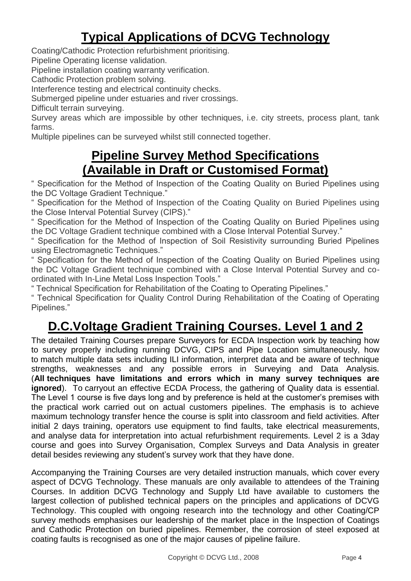## **Typical Applications of DCVG Technology**

Coating/Cathodic Protection refurbishment prioritising.

Pipeline Operating license validation.

Pipeline installation coating warranty verification.

Cathodic Protection problem solving.

Interference testing and electrical continuity checks.

Submerged pipeline under estuaries and river crossings.

Difficult terrain surveying.

Survey areas which are impossible by other techniques, i.e. city streets, process plant, tank farms.

Multiple pipelines can be surveyed whilst still connected together.

### **Pipeline Survey Method Specifications (Available in Draft or Customised Format)**

" Specification for the Method of Inspection of the Coating Quality on Buried Pipelines using the DC Voltage Gradient Technique."

" Specification for the Method of Inspection of the Coating Quality on Buried Pipelines using the Close Interval Potential Survey (CIPS)."

" Specification for the Method of Inspection of the Coating Quality on Buried Pipelines using the DC Voltage Gradient technique combined with a Close Interval Potential Survey."

" Specification for the Method of Inspection of Soil Resistivity surrounding Buried Pipelines using Electromagnetic Techniques."

" Specification for the Method of Inspection of the Coating Quality on Buried Pipelines using the DC Voltage Gradient technique combined with a Close Interval Potential Survey and coordinated with In-Line Metal Loss Inspection Tools."

" Technical Specification for Rehabilitation of the Coating to Operating Pipelines."

" Technical Specification for Quality Control During Rehabilitation of the Coating of Operating Pipelines."

## **D.C.Voltage Gradient Training Courses. Level 1 and 2**

The detailed Training Courses prepare Surveyors for ECDA Inspection work by teaching how to survey properly including running DCVG, CIPS and Pipe Location simultaneously, how to match multiple data sets including ILI information, interpret data and be aware of technique strengths, weaknesses and any possible errors in Surveying and Data Analysis. (**All techniques have limitations and errors which in many survey techniques are ignored**). To carryout an effective ECDA Process, the gathering of Quality data is essential. The Level 1 course is five days long and by preference is held at the customer's premises with the practical work carried out on actual customers pipelines. The emphasis is to achieve maximum technology transfer hence the course is split into classroom and field activities. After initial 2 days training, operators use equipment to find faults, take electrical measurements, and analyse data for interpretation into actual refurbishment requirements. Level 2 is a 3day course and goes into Survey Organisation, Complex Surveys and Data Analysis in greater detail besides reviewing any student's survey work that they have done.

Accompanying the Training Courses are very detailed instruction manuals, which cover every aspect of DCVG Technology. These manuals are only available to attendees of the Training Courses. In addition DCVG Technology and Supply Ltd have available to customers the largest collection of published technical papers on the principles and applications of DCVG Technology. This coupled with ongoing research into the technology and other Coating/CP survey methods emphasises our leadership of the market place in the Inspection of Coatings and Cathodic Protection on buried pipelines. Remember, the corrosion of steel exposed at coating faults is recognised as one of the major causes of pipeline failure.